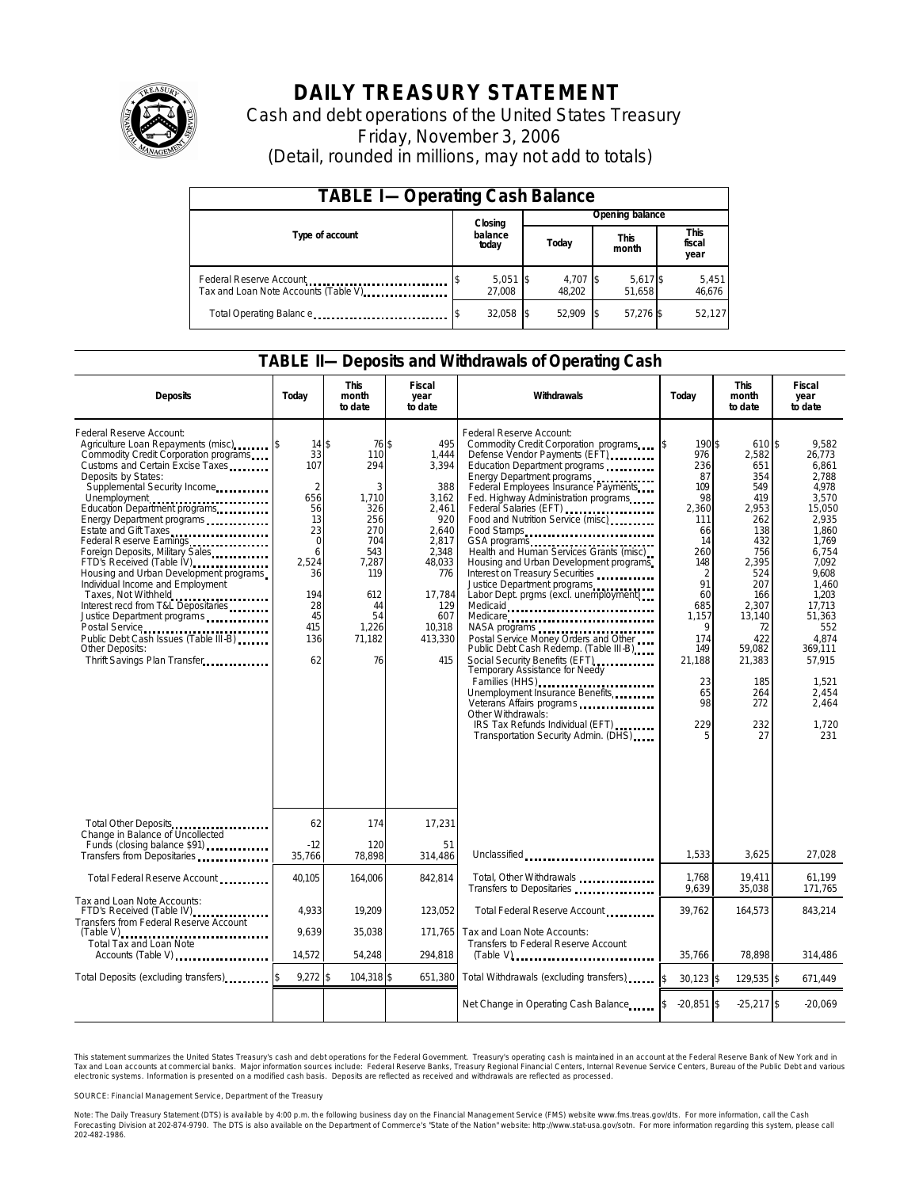

# **DAILY TREASURY STATEMENT**

Cash and debt operations of the United States Treasury Friday, November 3, 2006 (Detail, rounded in millions, may not add to totals)

| <b>TABLE I-Operating Cash Balance</b> |                  |                      |  |                    |  |                      |  |                        |  |
|---------------------------------------|------------------|----------------------|--|--------------------|--|----------------------|--|------------------------|--|
|                                       |                  | Closing              |  | Opening balance    |  |                      |  |                        |  |
| Type of account                       | balance<br>today |                      |  | Today              |  | <b>This</b><br>month |  | This<br>fiscal<br>year |  |
| Tax and Loan Note Accounts (Table V)  |                  | $5,051$ \$<br>27.008 |  | 4,707 \$<br>48.202 |  | 5,617 \$<br>51.658   |  | 5,451<br>46,676        |  |
| Total Operating Balance               |                  | $32,058$ \$          |  | 52.909             |  | 57.276 \$            |  | 52,127                 |  |

#### **TABLE II—Deposits and Withdrawals of Operating Cash**

| <b>Deposits</b>                                                                                                                                                                                                                                                                                                                                                                                                                                                                                                                                                                                                                                                                                                  | Today                                                                                                                                            | <b>This</b><br>month<br>to date                                                                                                  | Fiscal<br>year<br>to date                                                                                                                             | Withdrawals                                                                                                                                                                                                                                                                                                                                                                                                                                                                                                                                                                                                                                                                                                                                                                                                                                                                             | Today                                                                                                                                                                                            | <b>This</b><br>month<br>to date                                                                                                                                                                      | <b>Fiscal</b><br>year<br>to date                                                                                                                                                                                                          |
|------------------------------------------------------------------------------------------------------------------------------------------------------------------------------------------------------------------------------------------------------------------------------------------------------------------------------------------------------------------------------------------------------------------------------------------------------------------------------------------------------------------------------------------------------------------------------------------------------------------------------------------------------------------------------------------------------------------|--------------------------------------------------------------------------------------------------------------------------------------------------|----------------------------------------------------------------------------------------------------------------------------------|-------------------------------------------------------------------------------------------------------------------------------------------------------|-----------------------------------------------------------------------------------------------------------------------------------------------------------------------------------------------------------------------------------------------------------------------------------------------------------------------------------------------------------------------------------------------------------------------------------------------------------------------------------------------------------------------------------------------------------------------------------------------------------------------------------------------------------------------------------------------------------------------------------------------------------------------------------------------------------------------------------------------------------------------------------------|--------------------------------------------------------------------------------------------------------------------------------------------------------------------------------------------------|------------------------------------------------------------------------------------------------------------------------------------------------------------------------------------------------------|-------------------------------------------------------------------------------------------------------------------------------------------------------------------------------------------------------------------------------------------|
| Federal Reserve Account:<br>Agriculture Loan Repayments (misc)<br>Commodity Credit Corporation programs<br>Customs and Certain Excise Taxes<br>Deposits by States:<br>Supplemental Security Income<br>Unemployment<br>Education Department programs<br>Energy Department programs<br>Estate and Gift Taxes<br>Federal Reserve Earnings<br>Foreign Deposits, Military Sales<br>FTD's Received (Table IV) <b>FTD</b> 's Received (Table IV)<br>Housing and Urban Development programs<br>Individual Income and Employment<br>Taxes, Not Withheld<br>Interest recd from T&L Depositaries<br>Justice Department programs<br>Public Debt Cash Issues (Table III-B)<br>Other Deposits:<br>Thrift Savings Plan Transfer | $14$ $\bar{s}$<br>33<br>107<br>$\overline{2}$<br>656<br>56<br>13<br>23<br>$\mathbf 0$<br>6<br>2,524<br>36<br>194<br>28<br>45<br>415<br>136<br>62 | 76 \$<br>110<br>294<br>3<br>1,710<br>326<br>256<br>270<br>704<br>543<br>7,287<br>119<br>612<br>44<br>54<br>1,226<br>71.182<br>76 | 495<br>1,444<br>3,394<br>388<br>3,162<br>2,461<br>920<br>2.640<br>2,817<br>2,348<br>48,033<br>776<br>17,784<br>129<br>607<br>10.318<br>413,330<br>415 | Federal Reserve Account:<br>Commodity Credit Corporation programs<br>Defense Vendor Payments (EFT)<br>Education Department programs<br>Energy Department programs<br>Federal Employees Insurance Payments<br>Fed. Highway Administration programs<br>Federal Salaries (EFT)<br>Food and Nutrition Service (misc)<br>Food Stamps<br>Health and Human Services Grants (misc)<br>Housing and Urban Development programs<br>Interest on Treasury Securities<br>Justice Department programs<br>Labor Dept. prgms (excl. unemployment)<br>Medicare<br>Postal Service Money Orders and Other<br>Public Debt Cash Redemp. (Table III-B)<br>Social Security Benefits (EFT)<br>Temporary Assistance for Needy<br>Families (HHS)<br>Unemployment Insurance Benefits<br>Veterans Affairs programs<br>Other Withdrawals:<br>IRS Tax Refunds Individual (EFT)<br>Transportation Security Admin. (DHS) | 190 \$<br>ß.<br>976<br>236<br>87<br>109<br>98<br>2,360<br>111<br>66<br>14<br>260<br>148<br>$\overline{2}$<br>91<br>60<br>685<br>1,157<br>9<br>174<br>149<br>21,188<br>23<br>65<br>98<br>229<br>5 | 610 \$<br>2,582<br>651<br>354<br>549<br>419<br>2,953<br>262<br>138<br>432<br>756<br>2,395<br>524<br>207<br>166<br>2.307<br>13,140<br>72<br>422<br>59,082<br>21,383<br>185<br>264<br>272<br>232<br>27 | 9.582<br>26,773<br>6,861<br>2.788<br>4,978<br>3.570<br>15,050<br>2.935<br>1.860<br>1.769<br>6,754<br>7,092<br>9.608<br>1.460<br>1,203<br>17.713<br>51,363<br>552<br>4.874<br>369,111<br>57.915<br>1.521<br>2,454<br>2.464<br>1.720<br>231 |
| Total Other Deposits                                                                                                                                                                                                                                                                                                                                                                                                                                                                                                                                                                                                                                                                                             | 62                                                                                                                                               | 174                                                                                                                              | 17,231                                                                                                                                                |                                                                                                                                                                                                                                                                                                                                                                                                                                                                                                                                                                                                                                                                                                                                                                                                                                                                                         |                                                                                                                                                                                                  |                                                                                                                                                                                                      |                                                                                                                                                                                                                                           |
| Change in Balance of Uncollected<br>Funds (closing balance \$91)<br>Funds (closing balance \$91)<br>Transfers from Depositaries                                                                                                                                                                                                                                                                                                                                                                                                                                                                                                                                                                                  | $-12$<br>35,766                                                                                                                                  | 120<br>78,898                                                                                                                    | 51<br>314,486                                                                                                                                         | Unclassified                                                                                                                                                                                                                                                                                                                                                                                                                                                                                                                                                                                                                                                                                                                                                                                                                                                                            | 1,533                                                                                                                                                                                            | 3,625                                                                                                                                                                                                | 27,028                                                                                                                                                                                                                                    |
| Total Federal Reserve Account                                                                                                                                                                                                                                                                                                                                                                                                                                                                                                                                                                                                                                                                                    | 40,105                                                                                                                                           | 164,006                                                                                                                          | 842,814                                                                                                                                               | Total, Other Withdrawals<br>Transfers to Depositaries                                                                                                                                                                                                                                                                                                                                                                                                                                                                                                                                                                                                                                                                                                                                                                                                                                   | 1.768<br>9.639                                                                                                                                                                                   | 19.411<br>35.038                                                                                                                                                                                     | 61.199<br>171,765                                                                                                                                                                                                                         |
| Tax and Loan Note Accounts:<br>FTD's Received (Table IV)<br>Transfers from Federal Reserve Account                                                                                                                                                                                                                                                                                                                                                                                                                                                                                                                                                                                                               | 4.933                                                                                                                                            | 19,209                                                                                                                           | 123,052                                                                                                                                               | Total Federal Reserve Account                                                                                                                                                                                                                                                                                                                                                                                                                                                                                                                                                                                                                                                                                                                                                                                                                                                           | 39,762                                                                                                                                                                                           | 164,573                                                                                                                                                                                              | 843,214                                                                                                                                                                                                                                   |
| <b>Total Tax and Loan Note</b><br>Accounts (Table V)                                                                                                                                                                                                                                                                                                                                                                                                                                                                                                                                                                                                                                                             | 9.639<br>14,572                                                                                                                                  | 35,038<br>54.248                                                                                                                 | 171.765<br>294,818                                                                                                                                    | Tax and Loan Note Accounts:<br>Transfers to Federal Reserve Account<br>$(Table V)$                                                                                                                                                                                                                                                                                                                                                                                                                                                                                                                                                                                                                                                                                                                                                                                                      | 35.766                                                                                                                                                                                           | 78.898                                                                                                                                                                                               | 314,486                                                                                                                                                                                                                                   |
| Total Deposits (excluding transfers)                                                                                                                                                                                                                                                                                                                                                                                                                                                                                                                                                                                                                                                                             | $9,272$ \$                                                                                                                                       | 104,318 \$                                                                                                                       | 651,380                                                                                                                                               | Total Withdrawals (excluding transfers)                                                                                                                                                                                                                                                                                                                                                                                                                                                                                                                                                                                                                                                                                                                                                                                                                                                 | \$<br>$30,123$ \$                                                                                                                                                                                | 129,535 \$                                                                                                                                                                                           | 671,449                                                                                                                                                                                                                                   |
|                                                                                                                                                                                                                                                                                                                                                                                                                                                                                                                                                                                                                                                                                                                  |                                                                                                                                                  |                                                                                                                                  |                                                                                                                                                       | Net Change in Operating Cash Balance                                                                                                                                                                                                                                                                                                                                                                                                                                                                                                                                                                                                                                                                                                                                                                                                                                                    | $-20,851$ \$                                                                                                                                                                                     | $-25,217$ \$                                                                                                                                                                                         | $-20.069$                                                                                                                                                                                                                                 |

This statement summarizes the United States Treasury's cash and debt operations for the Federal Government. Treasury's operating cash is maintained in an account at the Federal Reserve Bank of New York and in Tax and Loan accounts at commercial banks. Major information sources include: Federal Reserve Banks, Treasury Regional Financial Centers, Internal Revenue Service Centers, Bureau of the Public Debt and various<br>electronic s

SOURCE: Financial Management Service, Department of the Treasury

Note: The Daily Treasury Statement (DTS) is available by 4:00 p.m. the following business day on the Financial Management Service (FMS) website www.fms.treas.gov/dts.<br>Forecasting Division at 202-874-9790. The DTS is also a S) is available by 4:00 p.m. the following business day on the Financial Management Service (FMS) website www.fms.treas.gov/dts. For more information, call the Cash<br>The DTS is also available on the Department of Commerce's